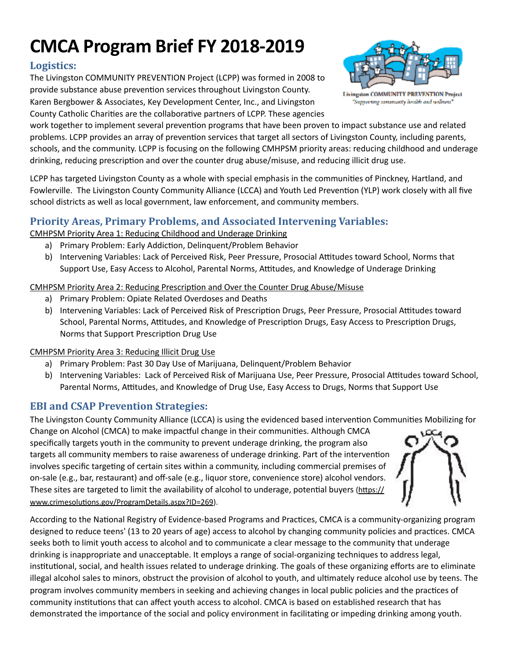# **CMCA Program Brief FY 2018-2019**

## Logistics:

The Livingston COMMUNITY PREVENTION Project (LCPP) was formed in 2008 to provide substance abuse prevention services throughout Livingston County.

Karen Bergbower & Associates, Key Development Center, Inc., and Livingston County Catholic Charities are the collaborative partners of LCPP. These agencies



**Livingston COMMUNITY PREVENTION Project** Supporting commantly health and wellness'

work together to implement several prevention programs that have been proven to impact substance use and related problems. LCPP provides an array of prevention services that target all sectors of Livingston County, including parents, schools, and the community. LCPP is focusing on the following CMHPSM priority areas: reducing childhood and underage drinking, reducing prescription and over the counter drug abuse/misuse, and reducing illicit drug use.

LCPP has targeted Livingston County as a whole with special emphasis in the communities of Pinckney, Hartland, and Fowlerville. The Livingston County Community Alliance (LCCA) and Youth Led Prevention (YLP) work closely with all five school districts as well as local government, law enforcement, and community members.

# **Priority Areas, Primary Problems, and Associated Intervening Variables:**

CMHPSM Priority Area 1: Reducing Childhood and Underage Drinking

- a) Primary Problem: Early Addiction, Delinquent/Problem Behavior
- b) Intervening Variables: Lack of Perceived Risk, Peer Pressure, Prosocial Attitudes toward School, Norms that Support Use, Easy Access to Alcohol, Parental Norms, Attitudes, and Knowledge of Underage Drinking

#### CMHPSM Priority Area 2: Reducing Prescription and Over the Counter Drug Abuse/Misuse

- a) Primary Problem: Opiate Related Overdoses and Deaths
- b) Intervening Variables: Lack of Perceived Risk of Prescription Drugs, Peer Pressure, Prosocial Attitudes toward School, Parental Norms, Attitudes, and Knowledge of Prescription Drugs, Easy Access to Prescription Drugs, Norms that Support Prescription Drug Use

#### CMHPSM Priority Area 3: Reducing Illicit Drug Use

- a) Primary Problem: Past 30 Day Use of Marijuana, Delinquent/Problem Behavior
- b) Intervening Variables: Lack of Perceived Risk of Marijuana Use, Peer Pressure, Prosocial Attitudes toward School, Parental Norms, Attitudes, and Knowledge of Drug Use, Easy Access to Drugs, Norms that Support Use

# **EBI** and **CSAP** Prevention Strategies:

The Livingston County Community Alliance (LCCA) is using the evidenced based intervention Communities Mobilizing for

Change on Alcohol (CMCA) to make impactful change in their communities. Although CMCA specifically targets youth in the community to prevent underage drinking, the program also targets all community members to raise awareness of underage drinking. Part of the intervention involves specific targeting of certain sites within a community, including commercial premises of on-sale (e.g., bar, restaurant) and off-sale (e.g., liquor store, convenience store) alcohol vendors. These sites are targeted to limit the availability of alcohol to underage, potential buyers (https:// www.crimesolutions.gov/ProgramDetails.aspx?ID=269).



According to the National Registry of Evidence-based Programs and Practices, CMCA is a community-organizing program designed to reduce teens' (13 to 20 years of age) access to alcohol by changing community policies and practices. CMCA seeks both to limit youth access to alcohol and to communicate a clear message to the community that underage drinking is inappropriate and unacceptable. It employs a range of social-organizing techniques to address legal, institutional, social, and health issues related to underage drinking. The goals of these organizing efforts are to eliminate illegal alcohol sales to minors, obstruct the provision of alcohol to youth, and ultimately reduce alcohol use by teens. The program involves community members in seeking and achieving changes in local public policies and the practices of community institutions that can affect youth access to alcohol. CMCA is based on established research that has demonstrated the importance of the social and policy environment in facilitating or impeding drinking among youth.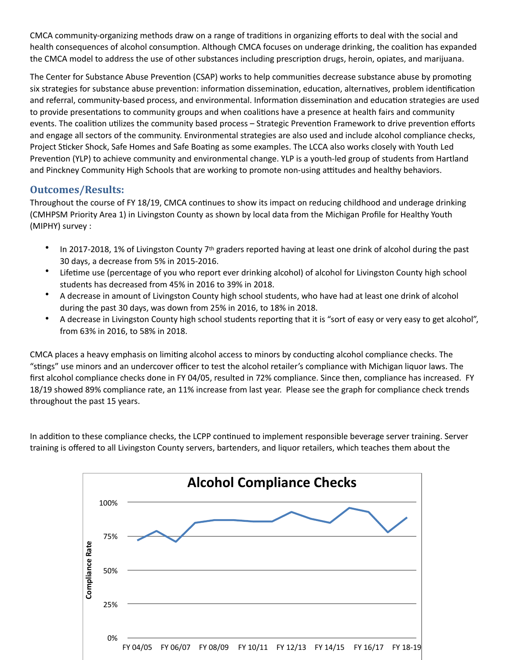CMCA community-organizing methods draw on a range of traditions in organizing efforts to deal with the social and health consequences of alcohol consumption. Although CMCA focuses on underage drinking, the coalition has expanded the CMCA model to address the use of other substances including prescription drugs, heroin, opiates, and marijuana.

The Center for Substance Abuse Prevention (CSAP) works to help communities decrease substance abuse by promoting six strategies for substance abuse prevention: information dissemination, education, alternatives, problem identification and referral, community-based process, and environmental. Information dissemination and education strategies are used to provide presentations to community groups and when coalitions have a presence at health fairs and community events. The coalition utilizes the community based process – Strategic Prevention Framework to drive prevention efforts and engage all sectors of the community. Environmental strategies are also used and include alcohol compliance checks, Project Sticker Shock, Safe Homes and Safe Boating as some examples. The LCCA also works closely with Youth Led Prevention (YLP) to achieve community and environmental change. YLP is a youth-led group of students from Hartland and Pinckney Community High Schools that are working to promote non-using attitudes and healthy behaviors.

### **Outcomes/Results:**

Throughout the course of FY 18/19, CMCA continues to show its impact on reducing childhood and underage drinking (CMHPSM Priority Area 1) in Livingston County as shown by local data from the Michigan Profile for Healthy Youth (MIPHY) survey :

- In 2017-2018, 1% of Livingston County  $7<sup>th</sup>$  graders reported having at least one drink of alcohol during the past 30 days, a decrease from 5% in 2015-2016.
- Lifetime use (percentage of you who report ever drinking alcohol) of alcohol for Livingston County high school students has decreased from 45% in 2016 to 39% in 2018.
- A decrease in amount of Livingston County high school students, who have had at least one drink of alcohol during the past 30 days, was down from 25% in 2016, to 18% in 2018.
- A decrease in Livingston County high school students reporting that it is "sort of easy or very easy to get alcohol", from 63% in 2016, to 58% in 2018.

CMCA places a heavy emphasis on limiting alcohol access to minors by conducting alcohol compliance checks. The "stings" use minors and an undercover officer to test the alcohol retailer's compliance with Michigan liquor laws. The first alcohol compliance checks done in FY 04/05, resulted in 72% compliance. Since then, compliance has increased. FY 18/19 showed 89% compliance rate, an 11% increase from last year. Please see the graph for compliance check trends throughout the past 15 years.

In addition to these compliance checks, the LCPP continued to implement responsible beverage server training. Server training is offered to all Livingston County servers, bartenders, and liquor retailers, which teaches them about the

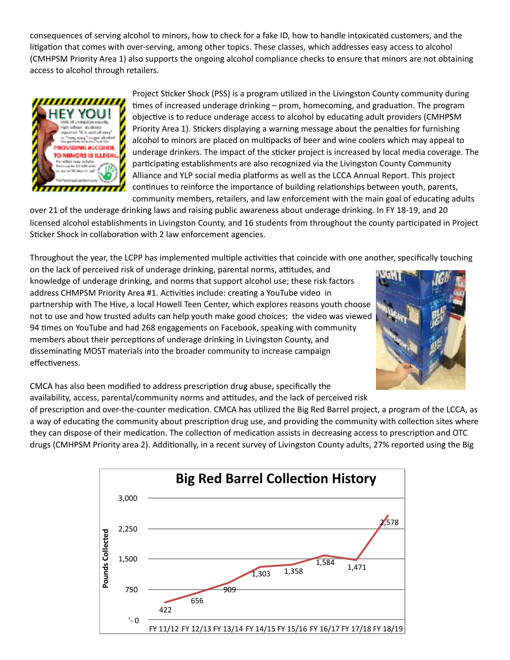consequences of serving alcohol to minors, how to check for a fake ID, how to handle intoxicated customers, and the litigation that comes with over-serving, among other topics. These classes, which addresses easy access to alcohol (CMHPSM Priority Area 1) also supports the ongoing alcohol compliance checks to ensure that minors are not obtaining access to alcohol through retailers.



Project Sticker Shock (PSS) is a program utilized in the Livingston County community during times of increased underage drinking - prom, homecoming, and graduation. The program objective is to reduce underage access to alcohol by educating adult providers (CMHPSM Priority Area 1). Stickers displaying a warning message about the penalties for furnishing alcohol to minors are placed on multipacks of beer and wine coolers which may appeal to underage drinkers. The impact of the sticker project is increased by local media coverage. The participating establishments are also recognized via the Livingston County Community Alliance and YLP social media platforms as well as the LCCA Annual Report. This project continues to reinforce the importance of building relationships between youth, parents, community members, retailers, and law enforcement with the main goal of educating adults

over 21 of the underage drinking laws and raising public awareness about underage drinking. In FY 18-19, and 20 licensed alcohol establishments in Livingston County, and 16 students from throughout the county participated in Project Sticker Shock in collaboration with 2 law enforcement agencies.

Throughout the year, the LCPP has implemented multiple activities that coincide with one another, specifically touching

on the lack of perceived risk of underage drinking, parental norms, attitudes, and knowledge of underage drinking, and norms that support alcohol use; these risk factors address CHMPSM Priority Area #1. Activities include: creating a YouTube video in partnership with The Hive, a local Howell Teen Center, which explores reasons youth choose not to use and how trusted adults can help youth make good choices; the video was viewed 94 times on YouTube and had 268 engagements on Facebook, speaking with community members about their perceptions of underage drinking in Livingston County, and disseminating MOST materials into the broader community to increase campaign effectiveness.



CMCA has also been modified to address prescription drug abuse, specifically the availability, access, parental/community norms and attitudes, and the lack of perceived risk

of prescription and over-the-counter medication. CMCA has utilized the Big Red Barrel project, a program of the LCCA, as a way of educating the community about prescription drug use, and providing the community with collection sites where they can dispose of their medication. The collection of medication assists in decreasing access to prescription and OTC drugs (CMHPSM Priority area 2). Additionally, in a recent survey of Livingston County adults, 27% reported using the Big

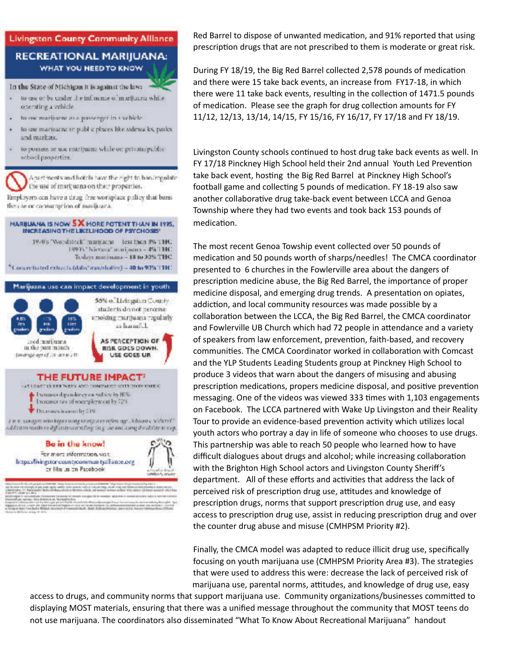## **Livingston County Community Alliance RECREATIONAL MARIJUANA:** WHAT YOU NEED TO KNOW

#### In the State of Michigan it is against the law:

- to use or be under the influence of marijuana while. operating a vehicle.
- fo use marijuana as a passenger in a schicle.
- to use marijuana in public places like sidewalks, paiks. and markets.
- to possess or use marijuana while on private/publicschool properties.

Actort ments and hotels have the right to han/regulate the use of marijuana on their properties.

Employers can have a tirug free workplace policy that bans the case or consumption of marijuana.

#### MARIJUANA IS NOW 5 X MORE POTENT THAN IN 1995. INCREASING THE LIKELIHOOD OF PSYCHOSIS'

1970's "Worldstock" manyatha less than 5% THC 1997s "Nicraea" marijuana - 4% THC Todays marijuana - 18 to 30% THC "Concentrated extracts (datis' was/shatter) = 40 to 90% TTHC



h est perpersons that it is process considerations of theme.<br>Property in the new optic materials are to the consideration of the<br>Production of Ballache Co. Determined in the constant and<br>Security mentales de la maria de mandad antiglia del giunti la completa aparelata.<br>Les diversions de la formativa dels construirs diversifications de la completa aparelata.<br>Libertata del construirs del primer del construirs del con de de<br>la constitution de la completa compagnée de constitution de la constitution de la constitution de la constitution de la constitution de la constitution de la constitution de la constitution de la constitution de la c Red Barrel to dispose of unwanted medication, and 91% reported that using prescription drugs that are not prescribed to them is moderate or great risk.

During FY 18/19, the Big Red Barrel collected 2,578 pounds of medication and there were 15 take back events, an increase from FY17-18, in which there were 11 take back events, resulting in the collection of 1471.5 pounds of medication. Please see the graph for drug collection amounts for FY 11/12, 12/13, 13/14, 14/15, FY 15/16, FY 16/17, FY 17/18 and FY 18/19.

Livingston County schools continued to host drug take back events as well. In FY 17/18 Pinckney High School held their 2nd annual Youth Led Prevention take back event, hosting the Big Red Barrel at Pinckney High School's football game and collecting 5 pounds of medication. FY 18-19 also saw another collaborative drug take-back event between LCCA and Genoa Township where they had two events and took back 153 pounds of medication.

The most recent Genoa Towship event collected over 50 pounds of medication and 50 pounds worth of sharps/needles! The CMCA coordinator presented to 6 churches in the Fowlerville area about the dangers of prescription medicine abuse, the Big Red Barrel, the importance of proper medicine disposal, and emerging drug trends. A presentation on opiates, addiction, and local community resources was made possible by a collaboration between the LCCA, the Big Red Barrel, the CMCA coordinator and Fowlerville UB Church which had 72 people in attendance and a variety of speakers from law enforcement, prevention, faith-based, and recovery communities. The CMCA Coordinator worked in collaboration with Comcast and the YLP Students Leading Students group at Pinckney High School to produce 3 videos that warn about the dangers of misusing and abusing prescription medications, propers medicine disposal, and positive prevention messaging. One of the videos was viewed 333 times with 1,103 engagements on Facebook. The LCCA partnered with Wake Up Livingston and their Reality Tour to provide an evidence-based prevention activity which utilizes local youth actors who portray a day in life of someone who chooses to use drugs. This partnership was able to reach 50 people who learned how to have difficult dialogues about drugs and alcohol; while increasing collaboration with the Brighton High School actors and Livingston County Sheriff's department. All of these efforts and activities that address the lack of perceived risk of prescription drug use, attitudes and knowledge of prescription drugs, norms that support prescription drug use, and easy access to prescription drug use, assist in reducing prescription drug and over the counter drug abuse and misuse (CMHPSM Priority #2).

Finally, the CMCA model was adapted to reduce illicit drug use, specifically focusing on youth marijuana use (CMHPSM Priority Area #3). The strategies that were used to address this were: decrease the lack of perceived risk of marijuana use, parental norms, attitudes, and knowledge of drug use, easy

access to drugs, and community norms that support marijuana use. Community organizations/businesses committed to displaying MOST materials, ensuring that there was a unified message throughout the community that MOST teens do not use marijuana. The coordinators also disseminated "What To Know About Recreational Marijuana" handout